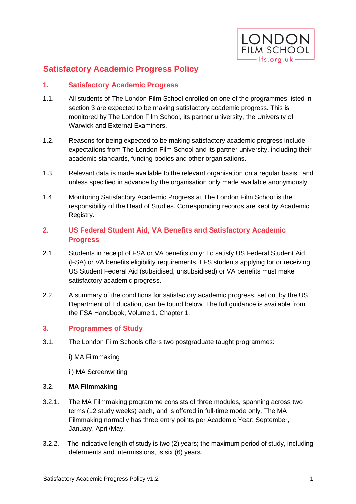

# **Satisfactory Academic Progress Policy**

## **1. Satisfactory Academic Progress**

- 1.1. All students of The London Film School enrolled on one of the programmes listed in section 3 are expected to be making satisfactory academic progress. This is monitored by The London Film School, its partner university, the University of Warwick and External Examiners.
- 1.2. Reasons for being expected to be making satisfactory academic progress include expectations from The London Film School and its partner university, including their academic standards, funding bodies and other organisations.
- 1.3. Relevant data is made available to the relevant organisation on a regular basis and unless specified in advance by the organisation only made available anonymously.
- 1.4. Monitoring Satisfactory Academic Progress at The London Film School is the responsibility of the Head of Studies. Corresponding records are kept by Academic Registry.

## **2. US Federal Student Aid, VA Benefits and Satisfactory Academic Progress**

- 2.1. Students in receipt of FSA or VA benefits only: To satisfy US Federal Student Aid (FSA) or VA benefits eligibility requirements, LFS students applying for or receiving US Student Federal Aid (subsidised, unsubsidised) or VA benefits must make satisfactory academic progress.
- 2.2. A summary of the conditions for satisfactory academic progress, set out by the US Department of Education, can be found below. The full guidance is available from the FSA Handbook, Volume 1, Chapter 1.

## **3. Programmes of Study**

- 3.1. The London Film Schools offers two postgraduate taught programmes:
	- i) MA Filmmaking
	- ii) MA Screenwriting

#### 3.2. **MA Filmmaking**

- 3.2.1. The MA Filmmaking programme consists of three modules, spanning across two terms (12 study weeks) each, and is offered in full-time mode only. The MA Filmmaking normally has three entry points per Academic Year: September, January, April/May.
- 3.2.2. The indicative length of study is two (2) years; the maximum period of study, including deferments and intermissions, is six (6) years.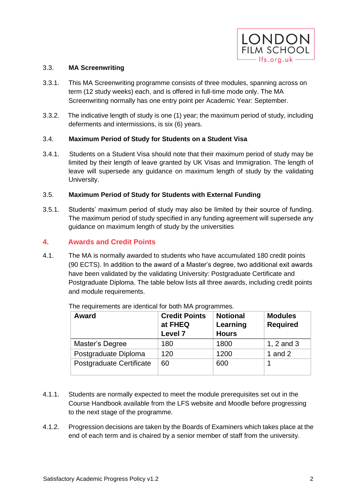

#### 3.3. **MA Screenwriting**

- 3.3.1. This MA Screenwriting programme consists of three modules, spanning across on term (12 study weeks) each, and is offered in full-time mode only. The MA Screenwriting normally has one entry point per Academic Year: September.
- 3.3.2. The indicative length of study is one (1) year; the maximum period of study, including deferments and intermissions, is six (6) years.

#### 3.4. **Maximum Period of Study for Students on a Student Visa**

3.4.1. Students on a Student Visa should note that their maximum period of study may be limited by their length of leave granted by UK Visas and Immigration. The length of leave will supersede any guidance on maximum length of study by the validating University.

## 3.5. **Maximum Period of Study for Students with External Funding**

3.5.1. Students' maximum period of study may also be limited by their source of funding. The maximum period of study specified in any funding agreement will supersede any guidance on maximum length of study by the universities

## **4. Awards and Credit Points**

4.1. The MA is normally awarded to students who have accumulated 180 credit points (90 ECTS). In addition to the award of a Master's degree, two additional exit awards have been validated by the validating University: Postgraduate Certificate and Postgraduate Diploma. The table below lists all three awards, including credit points and module requirements.

| <b>Award</b>             | <b>Credit Points</b><br>at FHEQ<br>Level 7 | <b>Notional</b><br>Learning<br><b>Hours</b> | <b>Modules</b><br><b>Required</b> |
|--------------------------|--------------------------------------------|---------------------------------------------|-----------------------------------|
| Master's Degree          | 180                                        | 1800                                        | 1, $2$ and $3$                    |
| Postgraduate Diploma     | 120                                        | 1200                                        | 1 and $2$                         |
| Postgraduate Certificate | 60                                         | 600                                         |                                   |

The requirements are identical for both MA programmes.

- 4.1.1. Students are normally expected to meet the module prerequisites set out in the Course Handbook available from the LFS website and Moodle before progressing to the next stage of the programme.
- 4.1.2. Progression decisions are taken by the Boards of Examiners which takes place at the end of each term and is chaired by a senior member of staff from the university.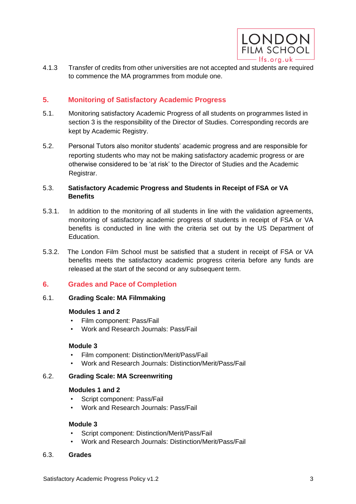

4.1.3 Transfer of credits from other universities are not accepted and students are required to commence the MA programmes from module one.

## **5. Monitoring of Satisfactory Academic Progress**

- 5.1. Monitoring satisfactory Academic Progress of all students on programmes listed in section 3 is the responsibility of the Director of Studies. Corresponding records are kept by Academic Registry.
- 5.2. Personal Tutors also monitor students' academic progress and are responsible for reporting students who may not be making satisfactory academic progress or are otherwise considered to be 'at risk' to the Director of Studies and the Academic Registrar.

## 5.3. **Satisfactory Academic Progress and Students in Receipt of FSA or VA Benefits**

- 5.3.1. In addition to the monitoring of all students in line with the validation agreements, monitoring of satisfactory academic progress of students in receipt of FSA or VA benefits is conducted in line with the criteria set out by the US Department of Education.
- 5.3.2. The London Film School must be satisfied that a student in receipt of FSA or VA benefits meets the satisfactory academic progress criteria before any funds are released at the start of the second or any subsequent term.

## **6. Grades and Pace of Completion**

#### 6.1. **Grading Scale: MA Filmmaking**

#### **Modules 1 and 2**

- Film component: Pass/Fail
- Work and Research Journals: Pass/Fail

#### **Module 3**

- Film component: Distinction/Merit/Pass/Fail
- Work and Research Journals: Distinction/Merit/Pass/Fail

#### 6.2. **Grading Scale: MA Screenwriting**

#### **Modules 1 and 2**

- Script component: Pass/Fail
- Work and Research Journals: Pass/Fail

#### **Module 3**

- Script component: Distinction/Merit/Pass/Fail
- Work and Research Journals: Distinction/Merit/Pass/Fail

#### 6.3. **Grades**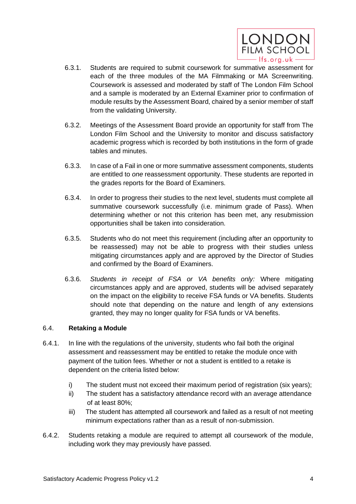

- 6.3.1. Students are required to submit coursework for summative assessment for each of the three modules of the MA Filmmaking or MA Screenwriting. Coursework is assessed and moderated by staff of The London Film School and a sample is moderated by an External Examiner prior to confirmation of module results by the Assessment Board, chaired by a senior member of staff from the validating University.
- 6.3.2. Meetings of the Assessment Board provide an opportunity for staff from The London Film School and the University to monitor and discuss satisfactory academic progress which is recorded by both institutions in the form of grade tables and minutes.
- 6.3.3. In case of a Fail in one or more summative assessment components, students are entitled to *one* reassessment opportunity. These students are reported in the grades reports for the Board of Examiners.
- 6.3.4. In order to progress their studies to the next level, students must complete all summative coursework successfully (i.e. minimum grade of Pass). When determining whether or not this criterion has been met, any resubmission opportunities shall be taken into consideration.
- 6.3.5. Students who do not meet this requirement (including after an opportunity to be reassessed) may not be able to progress with their studies unless mitigating circumstances apply and are approved by the Director of Studies and confirmed by the Board of Examiners.
- 6.3.6. *Students in receipt of FSA or VA benefits only:* Where mitigating circumstances apply and are approved, students will be advised separately on the impact on the eligibility to receive FSA funds or VA benefits. Students should note that depending on the nature and length of any extensions granted, they may no longer quality for FSA funds or VA benefits.

#### 6.4. **Retaking a Module**

- 6.4.1. In line with the regulations of the university, students who fail both the original assessment and reassessment may be entitled to retake the module once with payment of the tuition fees. Whether or not a student is entitled to a retake is dependent on the criteria listed below:
	- i) The student must not exceed their maximum period of registration (six years);
	- ii) The student has a satisfactory attendance record with an average attendance of at least 80%;
	- iii) The student has attempted all coursework and failed as a result of not meeting minimum expectations rather than as a result of non-submission.
- 6.4.2. Students retaking a module are required to attempt all coursework of the module, including work they may previously have passed.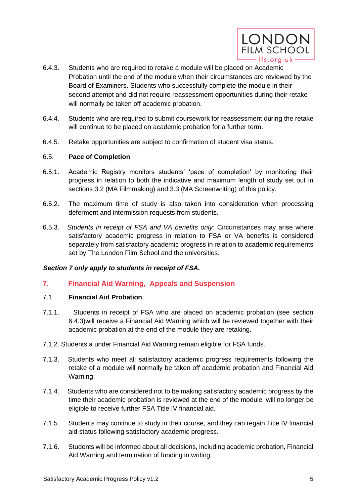

- 6.4.3. Students who are required to retake a module will be placed on Academic Probation until the end of the module when their circumstances are reviewed by the Board of Examiners. Students who successfully complete the module in their second attempt and did not require reassessment opportunities during their retake will normally be taken off academic probation.
- 6.4.4. Students who are required to submit coursework for reassessment during the retake will continue to be placed on academic probation for a further term.
- 6.4.5. Retake opportunities are subject to confirmation of student visa status.

## 6.5. **Pace of Completion**

- 6.5.1. Academic Registry monitors students' 'pace of completion' by monitoring their progress in relation to both the indicative and maximum length of study set out in sections 3.2 (MA Filmmaking) and 3.3 (MA Screenwriting) of this policy.
- 6.5.2. The maximum time of study is also taken into consideration when processing deferment and intermission requests from students.
- 6.5.3. *Students in receipt of FSA and VA benefits only:* Circumstances may arise where satisfactory academic progress in relation to FSA or VA benefits is considered separately from satisfactory academic progress in relation to academic requirements set by The London Film School and the universities.

## *Section 7 only apply to students in receipt of FSA.*

## **7. Financial Aid Warning, Appeals and Suspension**

#### 7.1. **Financial Aid Probation**

- 7.1.1. Students in receipt of FSA who are placed on academic probation (see section 6.4.3)will receive a Financial Aid Warning which will be reviewed together with their academic probation at the end of the module they are retaking.
- 7.1.2. Students a under Financial Aid Warning remain eligible for FSA funds.
- 7.1.3. Students who meet all satisfactory academic progress requirements following the retake of a module will normally be taken off academic probation and Financial Aid Warning.
- 7.1.4. Students who are considered not to be making satisfactory academic progress by the time their academic probation is reviewed at the end of the module will no longer be eligible to receive further FSA Title IV financial aid.
- 7.1.5. Students may continue to study in their course, and they can regain Title IV financial aid status following satisfactory academic progress.
- 7.1.6. Students will be informed about all decisions, including academic probation, Financial Aid Warning and termination of funding in writing.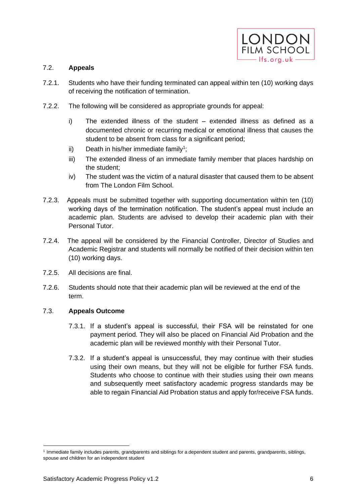

## 7.2. **Appeals**

- 7.2.1. Students who have their funding terminated can appeal within ten (10) working days of receiving the notification of termination.
- 7.2.2. The following will be considered as appropriate grounds for appeal:
	- i) The extended illness of the student extended illness as defined as a documented chronic or recurring medical or emotional illness that causes the student to be absent from class for a significant period;
	- ii) Death in his/her immediate family<sup>1</sup>;
	- iii) The extended illness of an immediate family member that places hardship on the student;
	- iv) The student was the victim of a natural disaster that caused them to be absent from The London Film School.
- 7.2.3. Appeals must be submitted together with supporting documentation within ten (10) working days of the termination notification. The student's appeal must include an academic plan. Students are advised to develop their academic plan with their Personal Tutor.
- 7.2.4. The appeal will be considered by the Financial Controller, Director of Studies and Academic Registrar and students will normally be notified of their decision within ten (10) working days.
- 7.2.5. All decisions are final.
- 7.2.6. Students should note that their academic plan will be reviewed at the end of the term.

#### 7.3. **Appeals Outcome**

- 7.3.1. If a student's appeal is successful, their FSA will be reinstated for one payment period. They will also be placed on Financial Aid Probation and the academic plan will be reviewed monthly with their Personal Tutor.
- 7.3.2. If a student's appeal is unsuccessful, they may continue with their studies using their own means, but they will not be eligible for further FSA funds. Students who choose to continue with their studies using their own means and subsequently meet satisfactory academic progress standards may be able to regain Financial Aid Probation status and apply for/receive FSA funds.

<sup>1</sup> Immediate family includes parents, grandparents and siblings for a dependent student and parents, grandparents, siblings, spouse and children for an independent student